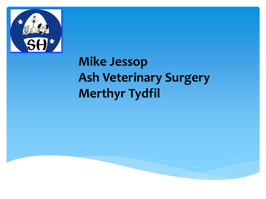

# **Mike Jessop Ash Veterinary Surgery Merthyr Tydfil**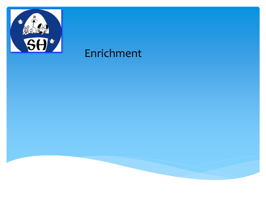

## Enrichment

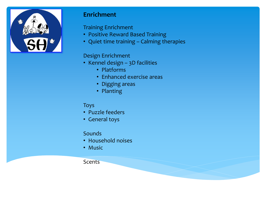

## **Enrichment**

Training Enrichment

- Positive Reward Based Training
- Quiet time training Calming therapies

### Design Enrichment

- Kennel design 3D facilities
	- Platforms
	- Enhanced exercise areas
	- Digging areas
	- Planting

### Toys

- Puzzle feeders
- General toys

### Sounds

- Household noises
- Music

### **Scents**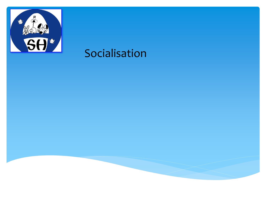

## Socialisation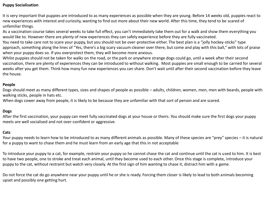### **Puppy Socialisation**

It is very important that puppies are introduced to as many experiences as possible when they are young. Before 14 weeks old, puppies react to new experiences with interest and curiosity, wanting to find out more about their new world. After this time, they tend to be scared of unfamiliar things.

As a vaccination course takes several weeks to take full effect, you can't immediately take them out for a walk and show them everything you would like to. However there are plenty of new experiences they can safely experience before they are fully vaccinated.

You need to take care not to scare your puppy, but you should not be over-protective either. The best plan is a "jolly hockey-sticks" type approach, something along the lines of "Yes, there's a big scary vacuum cleaner over there, but come and play with this ball," with lots of praise when your puppy does so. If you overprotect them, they will become more anxious.

Whilst puppies should not be taken for walks on the road, or the park or anywhere strange dogs could go, until a week after their second vaccination, there are plenty of experiences they can be introduced to without walking. Most puppies are small enough to be carried for several weeks after you get them. Think how many fun new experiences you can share. Don't wait until after their second vaccination before they leave the house.

#### **People**

Dogs should meet as many different types, sizes and shapes of people as possible – adults, children, women, men, men with beards, people with walking sticks, people in hats etc.

When dogs cower away from people, it is likely to be because they are unfamiliar with that sort of person and are scared.

### **Dogs**

After the first vaccination, your puppy can meet fully vaccinated dogs at your house or theirs. You should make sure the first dogs your puppy meets are well socialised and not over-confident or aggressive.

#### **Cats**

Your puppy needs to learn how to be introduced to as many different animals as possible. Many of these species are "prey" species – it is natural for a puppy to want to chase them and he must learn from an early age that this in not acceptable

To introduce your puppy to a cat, for example, restrain your puppy so he cannot chase the cat and continue until the cat is used to him. It is best to have two people, one to stroke and treat each animal, until they become used to each other. Once this stage is complete, introduce your puppy to the cat, without restraint but watch very closely. At the first sign of him wanting to chase it, distract him with a game.

Do not force the cat do go anywhere near your puppy until he or she is ready. Forcing them closer is likely to lead to both animals becoming upset and possibly one getting hurt.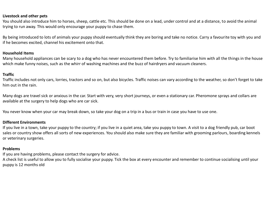#### **Livestock and other pets**

You should also introduce him to horses, sheep, cattle etc. This should be done on a lead, under control and at a distance, to avoid the animal trying to run away. This would only encourage your puppy to chase them.

By being introduced to lots of animals your puppy should eventually think they are boring and take no notice. Carry a favourite toy with you and if he becomes excited, channel his excitement onto that.

#### **Household Items**

Many household appliances can be scary to a dog who has never encountered them before. Try to familiarise him with all the things in the house which make funny noises, such as the whirr of washing machines and the buzz of hairdryers and vacuum cleaners.

#### **Traffic**

Traffic includes not only cars, lorries, tractors and so on, but also bicycles. Traffic noises can vary according to the weather, so don't forget to take him out in the rain.

Many dogs are travel sick or anxious in the car. Start with very, very short journeys, or even a stationary car. Pheromone sprays and collars are available at the surgery to help dogs who are car sick.

You never know when your car may break down, so take your dog on a trip in a bus or train in case you have to use one.

#### **Different Environments**

If you live in a town, take your puppy to the country; if you live in a quiet area, take you puppy to town. A visit to a dog friendly pub, car boot sales or country show offers all sorts of new experiences. You should also make sure they are familiar with grooming parlours, boarding kennels or veterinary surgeries.

#### **Problems**

If you are having problems, please contact the surgery for advice.

A check list is useful to allow you to fully socialise your puppy. Tick the box at every encounter and remember to continue socialising until your puppy is 12 months old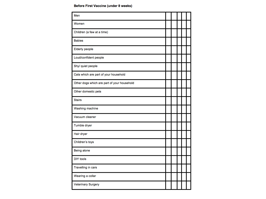#### **Before First Vaccine (under 8 weeks)**

| Men                                         |  |  |  |
|---------------------------------------------|--|--|--|
| Women                                       |  |  |  |
| Children (a few at a time)                  |  |  |  |
| <b>Babies</b>                               |  |  |  |
| <b>Elderly people</b>                       |  |  |  |
| Loud/confident people                       |  |  |  |
| Shy/ quiet people                           |  |  |  |
| Cats which are part of your household       |  |  |  |
| Other dogs which are part of your household |  |  |  |
| Other domestic pets                         |  |  |  |
| <b>Stairs</b>                               |  |  |  |
| Washing machine                             |  |  |  |
| Vacuum cleaner                              |  |  |  |
| Tumble dryer                                |  |  |  |
| Hair dryer                                  |  |  |  |
| Children's toys                             |  |  |  |
| <b>Being alone</b>                          |  |  |  |
| <b>DIY</b> tools                            |  |  |  |
| Travelling in cars                          |  |  |  |
| Wearing a collar                            |  |  |  |
| <b>Veterinary Surgery</b>                   |  |  |  |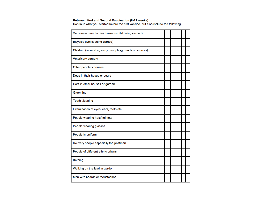Between First and Second Vaccination (8-11 weeks)<br>Continue what you started before the first vaccine, but also include the following.

| Vehicles - cars, lorries, buses (whilst being carried)  |  |  |  |
|---------------------------------------------------------|--|--|--|
| Bicycles (whilst being carried)                         |  |  |  |
| Children (several eg carry past playgrounds or schools) |  |  |  |
| <b>Veterinary surgery</b>                               |  |  |  |
| Other people's houses                                   |  |  |  |
| Dogs in their house or yours                            |  |  |  |
| Cats in other houses or garden                          |  |  |  |
| Grooming                                                |  |  |  |
| <b>Teeth cleaning</b>                                   |  |  |  |
| Examination of eyes, ears, teeth etc                    |  |  |  |
| People wearing hats/helmets                             |  |  |  |
| People wearing glasses                                  |  |  |  |
| People in uniform                                       |  |  |  |
| Delivery people especially the postman                  |  |  |  |
| People of different ethnic origins                      |  |  |  |
| <b>Bathing</b>                                          |  |  |  |
| Walking on the lead in garden                           |  |  |  |
| Men with beards or moustaches                           |  |  |  |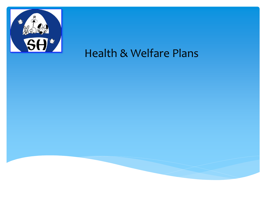

## Health & Welfare Plans